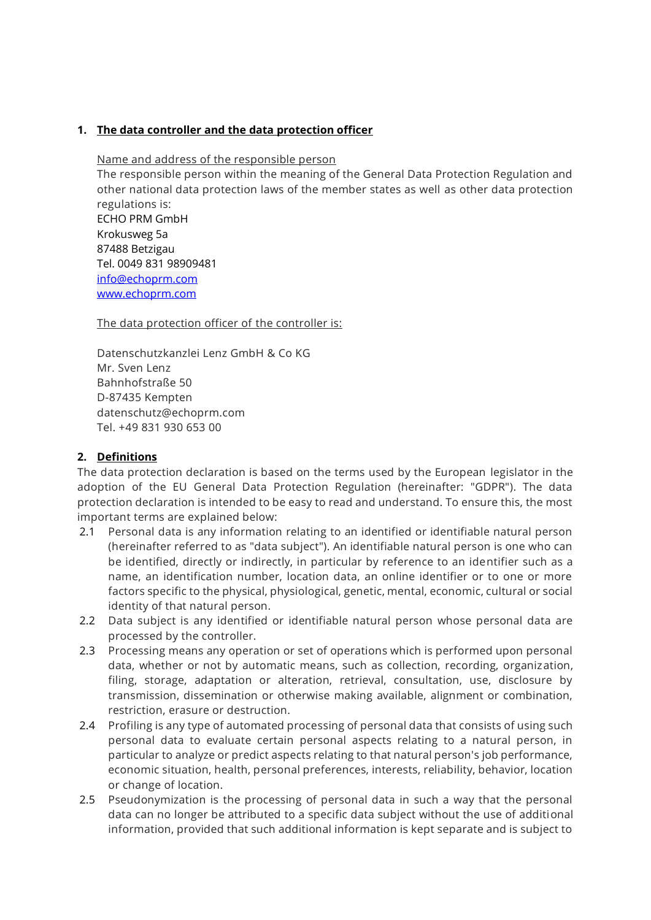#### **1. The data controller and the data protection officer**

Name and address of the responsible person

The responsible person within the meaning of the General Data Protection Regulation and other national data protection laws of the member states as well as other data protection regulations is: ECHO PRM GmbH

Krokusweg 5a 87488 Betzigau Tel. 0049 831 98909481 [info@echoprm.com](mailto:info@echoprm.com) [www.echoprm.com](http://www.echoprm.com/) 

The data protection officer of the controller is:

Datenschutzkanzlei Lenz GmbH & Co KG Mr. Sven Lenz Bahnhofstraße 50 D-87435 Kempten datenschutz@echoprm.com Tel. +49 831 930 653 00

## **2. Definitions**

The data protection declaration is based on the terms used by the European legislator in the adoption of the EU General Data Protection Regulation (hereinafter: "GDPR"). The data protection declaration is intended to be easy to read and understand. To ensure this, the most important terms are explained below:

- 2.1 Personal data is any information relating to an identified or identifiable natural person (hereinafter referred to as "data subject"). An identifiable natural person is one who can be identified, directly or indirectly, in particular by reference to an identifier such as a name, an identification number, location data, an online identifier or to one or more factors specific to the physical, physiological, genetic, mental, economic, cultural or social identity of that natural person.
- 2.2 Data subject is any identified or identifiable natural person whose personal data are processed by the controller.
- 2.3 Processing means any operation or set of operations which is performed upon personal data, whether or not by automatic means, such as collection, recording, organization, filing, storage, adaptation or alteration, retrieval, consultation, use, disclosure by transmission, dissemination or otherwise making available, alignment or combination, restriction, erasure or destruction.
- 2.4 Profiling is any type of automated processing of personal data that consists of using such personal data to evaluate certain personal aspects relating to a natural person, in particular to analyze or predict aspects relating to that natural person's job performance, economic situation, health, personal preferences, interests, reliability, behavior, location or change of location.
- 2.5 Pseudonymization is the processing of personal data in such a way that the personal data can no longer be attributed to a specific data subject without the use of additional information, provided that such additional information is kept separate and is subject to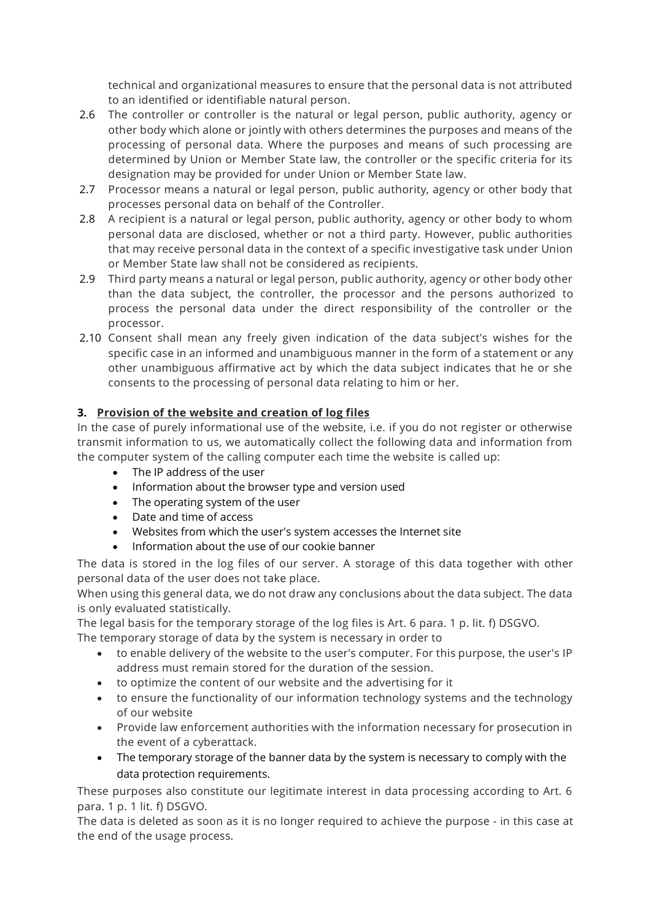technical and organizational measures to ensure that the personal data is not attributed to an identified or identifiable natural person.

- 2.6 The controller or controller is the natural or legal person, public authority, agency or other body which alone or jointly with others determines the purposes and means of the processing of personal data. Where the purposes and means of such processing are determined by Union or Member State law, the controller or the specific criteria for its designation may be provided for under Union or Member State law.
- 2.7 Processor means a natural or legal person, public authority, agency or other body that processes personal data on behalf of the Controller.
- 2.8 A recipient is a natural or legal person, public authority, agency or other body to whom personal data are disclosed, whether or not a third party. However, public authorities that may receive personal data in the context of a specific investigative task under Union or Member State law shall not be considered as recipients.
- 2.9 Third party means a natural or legal person, public authority, agency or other body other than the data subject, the controller, the processor and the persons authorized to process the personal data under the direct responsibility of the controller or the processor.
- 2.10 Consent shall mean any freely given indication of the data subject's wishes for the specific case in an informed and unambiguous manner in the form of a statement or any other unambiguous affirmative act by which the data subject indicates that he or she consents to the processing of personal data relating to him or her.

# **3. Provision of the website and creation of log files**

In the case of purely informational use of the website, i.e. if you do not register or otherwise transmit information to us, we automatically collect the following data and information from the computer system of the calling computer each time the website is called up:

- The IP address of the user
- Information about the browser type and version used
- The operating system of the user
- Date and time of access
- Websites from which the user's system accesses the Internet site
- Information about the use of our cookie banner

The data is stored in the log files of our server. A storage of this data together with other personal data of the user does not take place.

When using this general data, we do not draw any conclusions about the data subject. The data is only evaluated statistically.

The legal basis for the temporary storage of the log files is Art. 6 para. 1 p. lit. f) DSGVO.

The temporary storage of data by the system is necessary in order to

- to enable delivery of the website to the user's computer. For this purpose, the user's IP address must remain stored for the duration of the session.
- to optimize the content of our website and the advertising for it
- to ensure the functionality of our information technology systems and the technology of our website
- Provide law enforcement authorities with the information necessary for prosecution in the event of a cyberattack.
- The temporary storage of the banner data by the system is necessary to comply with the data protection requirements.

These purposes also constitute our legitimate interest in data processing according to Art. 6 para. 1 p. 1 lit. f) DSGVO.

The data is deleted as soon as it is no longer required to achieve the purpose - in this case at the end of the usage process.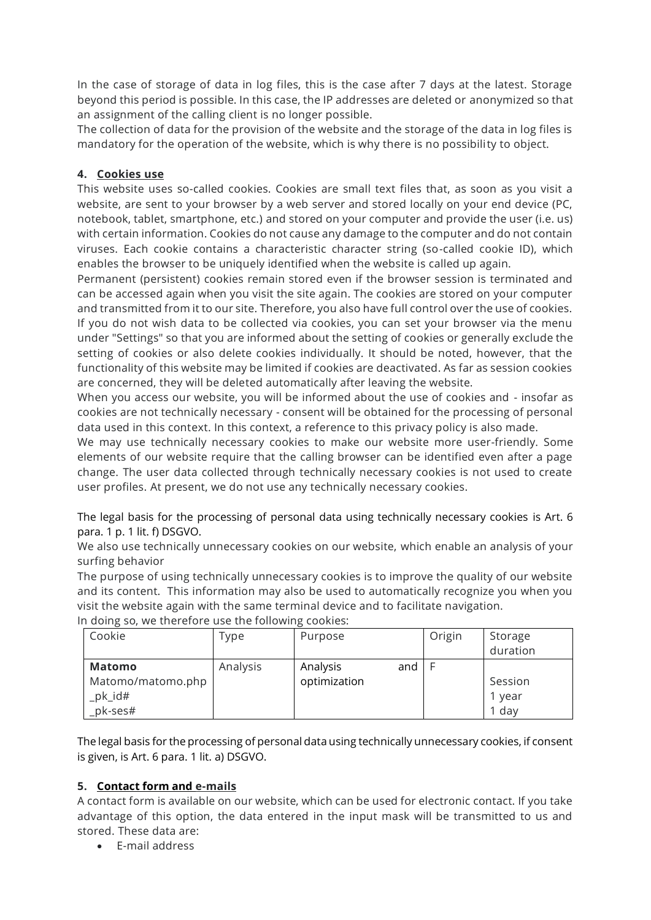In the case of storage of data in log files, this is the case after 7 days at the latest. Storage beyond this period is possible. In this case, the IP addresses are deleted or anonymized so that an assignment of the calling client is no longer possible.

The collection of data for the provision of the website and the storage of the data in log files is mandatory for the operation of the website, which is why there is no possibility to object.

# **4. Cookies use**

This website uses so-called cookies. Cookies are small text files that, as soon as you visit a website, are sent to your browser by a web server and stored locally on your end device (PC, notebook, tablet, smartphone, etc.) and stored on your computer and provide the user (i.e. us) with certain information. Cookies do not cause any damage to the computer and do not contain viruses. Each cookie contains a characteristic character string (so-called cookie ID), which enables the browser to be uniquely identified when the website is called up again.

Permanent (persistent) cookies remain stored even if the browser session is terminated and can be accessed again when you visit the site again. The cookies are stored on your computer and transmitted from it to our site. Therefore, you also have full control over the use of cookies. If you do not wish data to be collected via cookies, you can set your browser via the menu under "Settings" so that you are informed about the setting of cookies or generally exclude the setting of cookies or also delete cookies individually. It should be noted, however, that the functionality of this website may be limited if cookies are deactivated. As far as session cookies are concerned, they will be deleted automatically after leaving the website.

When you access our website, you will be informed about the use of cookies and - insofar as cookies are not technically necessary - consent will be obtained for the processing of personal data used in this context. In this context, a reference to this privacy policy is also made.

We may use technically necessary cookies to make our website more user-friendly. Some elements of our website require that the calling browser can be identified even after a page change. The user data collected through technically necessary cookies is not used to create user profiles. At present, we do not use any technically necessary cookies.

The legal basis for the processing of personal data using technically necessary cookies is Art. 6 para. 1 p. 1 lit. f) DSGVO.

We also use technically unnecessary cookies on our website, which enable an analysis of your surfing behavior

The purpose of using technically unnecessary cookies is to improve the quality of our website and its content. This information may also be used to automatically recognize you when you visit the website again with the same terminal device and to facilitate navigation.

| Cookie            | Type     | Purpose         | Origin | Storage<br>duration |
|-------------------|----------|-----------------|--------|---------------------|
| Matomo            | Analysis | Analysis<br>and |        |                     |
| Matomo/matomo.php |          | optimization    |        | Session             |
| _pk_id#           |          |                 |        | 1 year              |
| $pk$ -ses#        |          |                 |        | 1 day               |

In doing so, we therefore use the following cookies:

The legal basis for the processing of personal data using technically unnecessary cookies, if consent is given, is Art. 6 para. 1 lit. a) DSGVO.

# **5. Contact form and e-mails**

A contact form is available on our website, which can be used for electronic contact. If you take advantage of this option, the data entered in the input mask will be transmitted to us and stored. These data are:

• E-mail address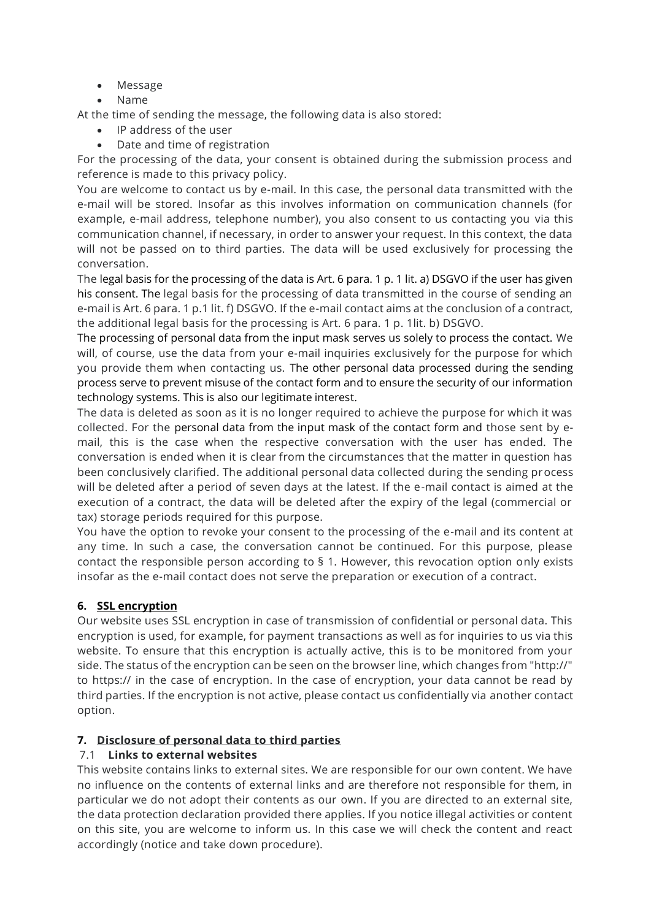- Message
- Name

At the time of sending the message, the following data is also stored:

- IP address of the user
- Date and time of registration

For the processing of the data, your consent is obtained during the submission process and reference is made to this privacy policy.

You are welcome to contact us by e-mail. In this case, the personal data transmitted with the e-mail will be stored. Insofar as this involves information on communication channels (for example, e-mail address, telephone number), you also consent to us contacting you via this communication channel, if necessary, in order to answer your request. In this context, the data will not be passed on to third parties. The data will be used exclusively for processing the conversation.

The legal basis for the processing of the data is Art. 6 para. 1 p. 1 lit. a) DSGVO if the user has given his consent. The legal basis for the processing of data transmitted in the course of sending an e-mail is Art. 6 para. 1 p.1 lit. f) DSGVO. If the e-mail contact aims at the conclusion of a contract, the additional legal basis for the processing is Art. 6 para. 1 p. 1lit. b) DSGVO.

The processing of personal data from the input mask serves us solely to process the contact. We will, of course, use the data from your e-mail inquiries exclusively for the purpose for which you provide them when contacting us. The other personal data processed during the sending process serve to prevent misuse of the contact form and to ensure the security of our information technology systems. This is also our legitimate interest.

The data is deleted as soon as it is no longer required to achieve the purpose for which it was collected. For the personal data from the input mask of the contact form and those sent by email, this is the case when the respective conversation with the user has ended. The conversation is ended when it is clear from the circumstances that the matter in question has been conclusively clarified. The additional personal data collected during the sending process will be deleted after a period of seven days at the latest. If the e-mail contact is aimed at the execution of a contract, the data will be deleted after the expiry of the legal (commercial or tax) storage periods required for this purpose.

You have the option to revoke your consent to the processing of the e-mail and its content at any time. In such a case, the conversation cannot be continued. For this purpose, please contact the responsible person according to § 1. However, this revocation option only exists insofar as the e-mail contact does not serve the preparation or execution of a contract.

# **6. SSL encryption**

Our website uses SSL encryption in case of transmission of confidential or personal data. This encryption is used, for example, for payment transactions as well as for inquiries to us via this website. To ensure that this encryption is actually active, this is to be monitored from your side. The status of the encryption can be seen on the browser line, which changes from "http://" to https:// in the case of encryption. In the case of encryption, your data cannot be read by third parties. If the encryption is not active, please contact us confidentially via another contact option.

# **7. Disclosure of personal data to third parties**

# 7.1 **Links to external websites**

This website contains links to external sites. We are responsible for our own content. We have no influence on the contents of external links and are therefore not responsible for them, in particular we do not adopt their contents as our own. If you are directed to an external site, the data protection declaration provided there applies. If you notice illegal activities or content on this site, you are welcome to inform us. In this case we will check the content and react accordingly (notice and take down procedure).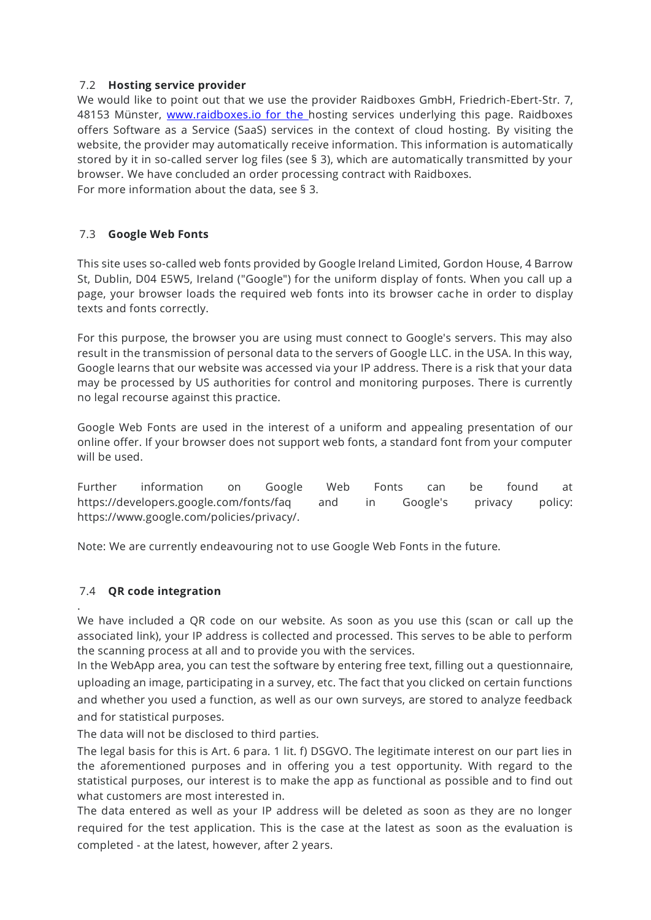## 7.2 **Hosting service provider**

We would like to point out that we use the provider Raidboxes GmbH, Friedrich-Ebert-Str. 7, 48153 Münster, [www.raidboxes.io for the h](http://www.raidboxes.io/)osting services underlying this page. Raidboxes offers Software as a Service (SaaS) services in the context of cloud hosting. By visiting the website, the provider may automatically receive information. This information is automatically stored by it in so-called server log files (see § 3), which are automatically transmitted by your browser. We have concluded an order processing contract with Raidboxes. For more information about the data, see § 3.

# 7.3 **Google Web Fonts**

This site uses so-called web fonts provided by Google Ireland Limited, Gordon House, 4 Barrow St, Dublin, D04 E5W5, Ireland ("Google") for the uniform display of fonts. When you call up a page, your browser loads the required web fonts into its browser cache in order to display texts and fonts correctly.

For this purpose, the browser you are using must connect to Google's servers. This may also result in the transmission of personal data to the servers of Google LLC. in the USA. In this way, Google learns that our website was accessed via your IP address. There is a risk that your data may be processed by US authorities for control and monitoring purposes. There is currently no legal recourse against this practice.

Google Web Fonts are used in the interest of a uniform and appealing presentation of our online offer. If your browser does not support web fonts, a standard font from your computer will be used.

Further information on Google Web Fonts can be found at https://developers.google.com/fonts/faq and in Google's privacy policy: https://www.google.com/policies/privacy/.

Note: We are currently endeavouring not to use Google Web Fonts in the future.

# 7.4 **QR code integration**

.

We have included a QR code on our website. As soon as you use this (scan or call up the associated link), your IP address is collected and processed. This serves to be able to perform the scanning process at all and to provide you with the services.

In the WebApp area, you can test the software by entering free text, filling out a questionnaire, uploading an image, participating in a survey, etc. The fact that you clicked on certain functions and whether you used a function, as well as our own surveys, are stored to analyze feedback and for statistical purposes.

The data will not be disclosed to third parties.

The legal basis for this is Art. 6 para. 1 lit. f) DSGVO. The legitimate interest on our part lies in the aforementioned purposes and in offering you a test opportunity. With regard to the statistical purposes, our interest is to make the app as functional as possible and to find out what customers are most interested in.

The data entered as well as your IP address will be deleted as soon as they are no longer required for the test application. This is the case at the latest as soon as the evaluation is completed - at the latest, however, after 2 years.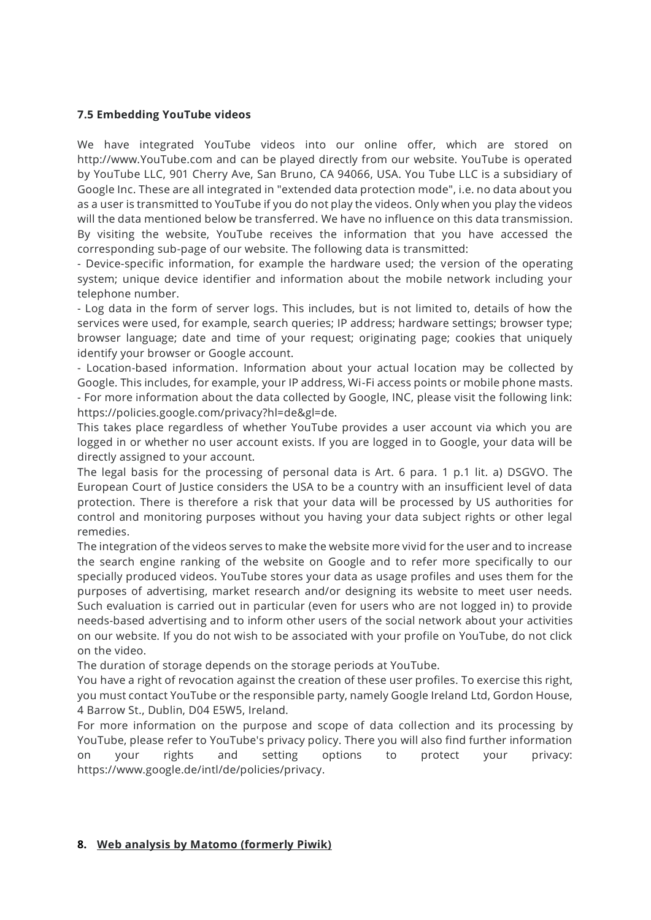#### **7.5 Embedding YouTube videos**

We have integrated YouTube videos into our online offer, which are stored on http://www.YouTube.com and can be played directly from our website. YouTube is operated by YouTube LLC, 901 Cherry Ave, San Bruno, CA 94066, USA. You Tube LLC is a subsidiary of Google Inc. These are all integrated in "extended data protection mode", i.e. no data about you as a user is transmitted to YouTube if you do not play the videos. Only when you play the videos will the data mentioned below be transferred. We have no influence on this data transmission. By visiting the website, YouTube receives the information that you have accessed the corresponding sub-page of our website. The following data is transmitted:

- Device-specific information, for example the hardware used; the version of the operating system; unique device identifier and information about the mobile network including your telephone number.

- Log data in the form of server logs. This includes, but is not limited to, details of how the services were used, for example, search queries; IP address; hardware settings; browser type; browser language; date and time of your request; originating page; cookies that uniquely identify your browser or Google account.

- Location-based information. Information about your actual location may be collected by Google. This includes, for example, your IP address, Wi-Fi access points or mobile phone masts. - For more information about the data collected by Google, INC, please visit the following link: https://policies.google.com/privacy?hl=de&gl=de.

This takes place regardless of whether YouTube provides a user account via which you are logged in or whether no user account exists. If you are logged in to Google, your data will be directly assigned to your account.

The legal basis for the processing of personal data is Art. 6 para. 1 p.1 lit. a) DSGVO. The European Court of Justice considers the USA to be a country with an insufficient level of data protection. There is therefore a risk that your data will be processed by US authorities for control and monitoring purposes without you having your data subject rights or other legal remedies.

The integration of the videos serves to make the website more vivid for the user and to increase the search engine ranking of the website on Google and to refer more specifically to our specially produced videos. YouTube stores your data as usage profiles and uses them for the purposes of advertising, market research and/or designing its website to meet user needs. Such evaluation is carried out in particular (even for users who are not logged in) to provide needs-based advertising and to inform other users of the social network about your activities on our website. If you do not wish to be associated with your profile on YouTube, do not click on the video.

The duration of storage depends on the storage periods at YouTube.

You have a right of revocation against the creation of these user profiles. To exercise this right, you must contact YouTube or the responsible party, namely Google Ireland Ltd, Gordon House, 4 Barrow St., Dublin, D04 E5W5, Ireland.

For more information on the purpose and scope of data collection and its processing by YouTube, please refer to YouTube's privacy policy. There you will also find further information on your rights and setting options to protect your privacy: https://www.google.de/intl/de/policies/privacy.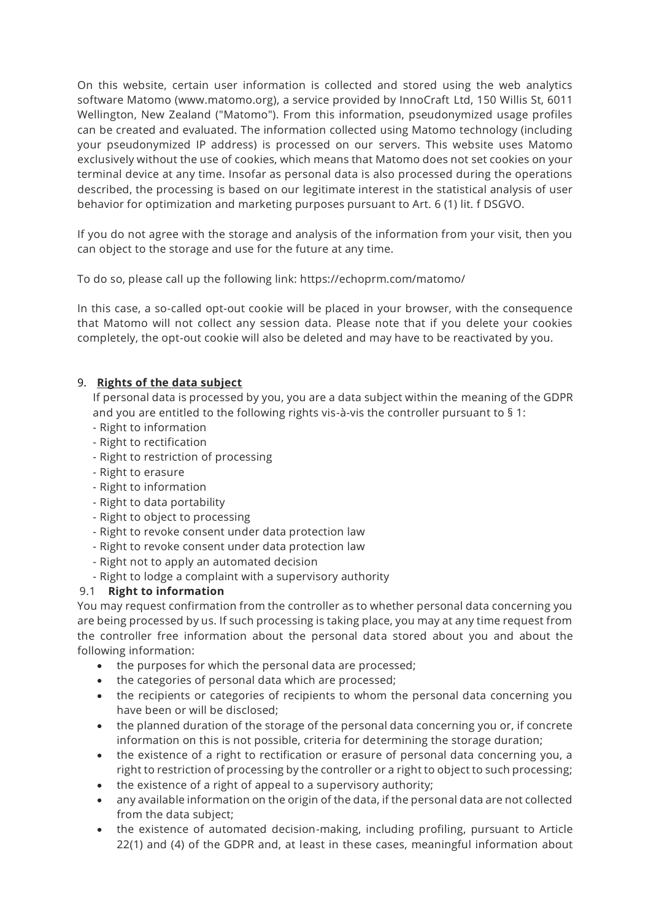On this website, certain user information is collected and stored using the web analytics software Matomo (www.matomo.org), a service provided by InnoCraft Ltd, 150 Willis St, 6011 Wellington, New Zealand ("Matomo"). From this information, pseudonymized usage profiles can be created and evaluated. The information collected using Matomo technology (including your pseudonymized IP address) is processed on our servers. This website uses Matomo exclusively without the use of cookies, which means that Matomo does not set cookies on your terminal device at any time. Insofar as personal data is also processed during the operations described, the processing is based on our legitimate interest in the statistical analysis of user behavior for optimization and marketing purposes pursuant to Art. 6 (1) lit. f DSGVO.

If you do not agree with the storage and analysis of the information from your visit, then you can object to the storage and use for the future at any time.

To do so, please call up the following link: https://echoprm.com/matomo/

In this case, a so-called opt-out cookie will be placed in your browser, with the consequence that Matomo will not collect any session data. Please note that if you delete your cookies completely, the opt-out cookie will also be deleted and may have to be reactivated by you.

## 9. **Rights of the data subject**

If personal data is processed by you, you are a data subject within the meaning of the GDPR and you are entitled to the following rights vis-à-vis the controller pursuant to § 1:

- Right to information
- Right to rectification
- Right to restriction of processing
- Right to erasure
- Right to information
- Right to data portability
- Right to object to processing
- Right to revoke consent under data protection law
- Right to revoke consent under data protection law
- Right not to apply an automated decision
- Right to lodge a complaint with a supervisory authority

#### 9.1 **Right to information**

You may request confirmation from the controller as to whether personal data concerning you are being processed by us. If such processing is taking place, you may at any time request from the controller free information about the personal data stored about you and about the following information:

- the purposes for which the personal data are processed;
- the categories of personal data which are processed;
- the recipients or categories of recipients to whom the personal data concerning you have been or will be disclosed;
- the planned duration of the storage of the personal data concerning you or, if concrete information on this is not possible, criteria for determining the storage duration;
- the existence of a right to rectification or erasure of personal data concerning you, a right to restriction of processing by the controller or a right to object to such processing;
- the existence of a right of appeal to a supervisory authority;
- any available information on the origin of the data, if the personal data are not collected from the data subject;
- the existence of automated decision-making, including profiling, pursuant to Article 22(1) and (4) of the GDPR and, at least in these cases, meaningful information about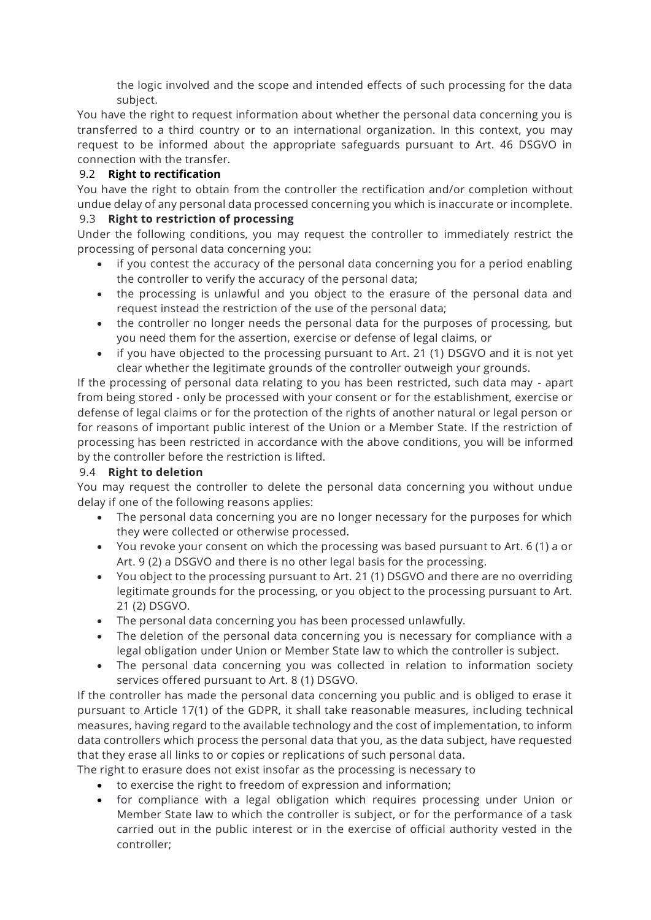the logic involved and the scope and intended effects of such processing for the data subject.

You have the right to request information about whether the personal data concerning you is transferred to a third country or to an international organization. In this context, you may request to be informed about the appropriate safeguards pursuant to Art. 46 DSGVO in connection with the transfer.

# 9.2 **Right to rectification**

You have the right to obtain from the controller the rectification and/or completion without undue delay of any personal data processed concerning you which is inaccurate or incomplete.

## 9.3 **Right to restriction of processing**

Under the following conditions, you may request the controller to immediately restrict the processing of personal data concerning you:

- if you contest the accuracy of the personal data concerning you for a period enabling the controller to verify the accuracy of the personal data;
- the processing is unlawful and you object to the erasure of the personal data and request instead the restriction of the use of the personal data;
- the controller no longer needs the personal data for the purposes of processing, but you need them for the assertion, exercise or defense of legal claims, or
- if you have objected to the processing pursuant to Art. 21 (1) DSGVO and it is not yet clear whether the legitimate grounds of the controller outweigh your grounds.

If the processing of personal data relating to you has been restricted, such data may - apart from being stored - only be processed with your consent or for the establishment, exercise or defense of legal claims or for the protection of the rights of another natural or legal person or for reasons of important public interest of the Union or a Member State. If the restriction of processing has been restricted in accordance with the above conditions, you will be informed by the controller before the restriction is lifted.

# 9.4 **Right to deletion**

You may request the controller to delete the personal data concerning you without undue delay if one of the following reasons applies:

- The personal data concerning you are no longer necessary for the purposes for which they were collected or otherwise processed.
- You revoke your consent on which the processing was based pursuant to Art. 6 (1) a or Art. 9 (2) a DSGVO and there is no other legal basis for the processing.
- You object to the processing pursuant to Art. 21 (1) DSGVO and there are no overriding legitimate grounds for the processing, or you object to the processing pursuant to Art. 21 (2) DSGVO.
- The personal data concerning you has been processed unlawfully.
- The deletion of the personal data concerning you is necessary for compliance with a legal obligation under Union or Member State law to which the controller is subject.
- The personal data concerning you was collected in relation to information society services offered pursuant to Art. 8 (1) DSGVO.

If the controller has made the personal data concerning you public and is obliged to erase it pursuant to Article 17(1) of the GDPR, it shall take reasonable measures, including technical measures, having regard to the available technology and the cost of implementation, to inform data controllers which process the personal data that you, as the data subject, have requested that they erase all links to or copies or replications of such personal data.

The right to erasure does not exist insofar as the processing is necessary to

- to exercise the right to freedom of expression and information;
- for compliance with a legal obligation which requires processing under Union or Member State law to which the controller is subject, or for the performance of a task carried out in the public interest or in the exercise of official authority vested in the controller;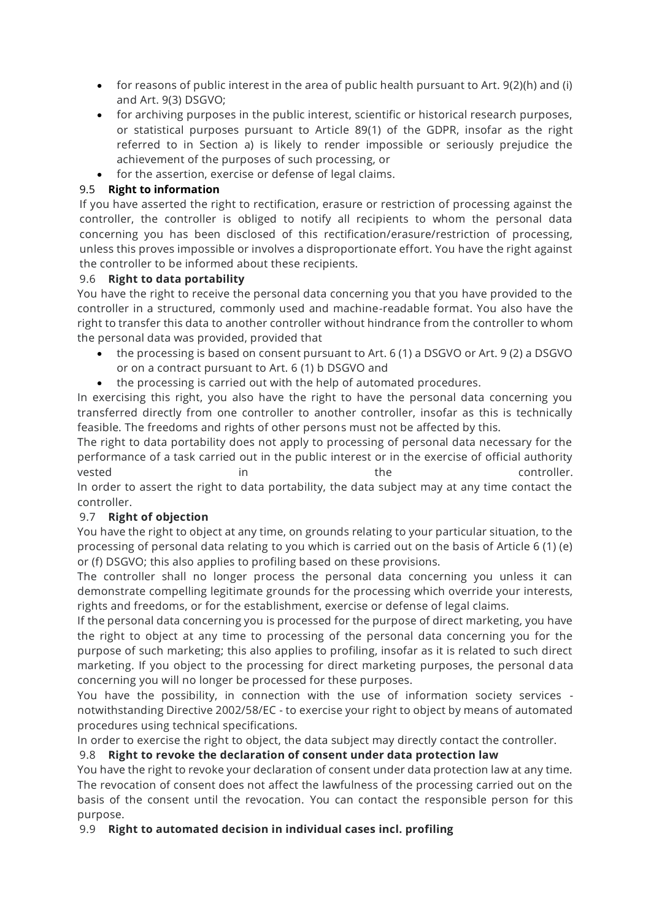- for reasons of public interest in the area of public health pursuant to Art. 9(2)(h) and (i) and Art. 9(3) DSGVO;
- for archiving purposes in the public interest, scientific or historical research purposes, or statistical purposes pursuant to Article 89(1) of the GDPR, insofar as the right referred to in Section a) is likely to render impossible or seriously prejudice the achievement of the purposes of such processing, or
- for the assertion, exercise or defense of legal claims.

# 9.5 **Right to information**

If you have asserted the right to rectification, erasure or restriction of processing against the controller, the controller is obliged to notify all recipients to whom the personal data concerning you has been disclosed of this rectification/erasure/restriction of processing, unless this proves impossible or involves a disproportionate effort. You have the right against the controller to be informed about these recipients.

## 9.6 **Right to data portability**

You have the right to receive the personal data concerning you that you have provided to the controller in a structured, commonly used and machine-readable format. You also have the right to transfer this data to another controller without hindrance from the controller to whom the personal data was provided, provided that

- the processing is based on consent pursuant to Art. 6 (1) a DSGVO or Art. 9 (2) a DSGVO or on a contract pursuant to Art. 6 (1) b DSGVO and
- the processing is carried out with the help of automated procedures.

In exercising this right, you also have the right to have the personal data concerning you transferred directly from one controller to another controller, insofar as this is technically feasible. The freedoms and rights of other persons must not be affected by this.

The right to data portability does not apply to processing of personal data necessary for the performance of a task carried out in the public interest or in the exercise of official authority vested in the the controller. In order to assert the right to data portability, the data subject may at any time contact the controller.

# 9.7 **Right of objection**

You have the right to object at any time, on grounds relating to your particular situation, to the processing of personal data relating to you which is carried out on the basis of Article 6 (1) (e) or (f) DSGVO; this also applies to profiling based on these provisions.

The controller shall no longer process the personal data concerning you unless it can demonstrate compelling legitimate grounds for the processing which override your interests, rights and freedoms, or for the establishment, exercise or defense of legal claims.

If the personal data concerning you is processed for the purpose of direct marketing, you have the right to object at any time to processing of the personal data concerning you for the purpose of such marketing; this also applies to profiling, insofar as it is related to such direct marketing. If you object to the processing for direct marketing purposes, the personal data concerning you will no longer be processed for these purposes.

You have the possibility, in connection with the use of information society services notwithstanding Directive 2002/58/EC - to exercise your right to object by means of automated procedures using technical specifications.

In order to exercise the right to object, the data subject may directly contact the controller.

# 9.8 **Right to revoke the declaration of consent under data protection law**

You have the right to revoke your declaration of consent under data protection law at any time. The revocation of consent does not affect the lawfulness of the processing carried out on the basis of the consent until the revocation. You can contact the responsible person for this purpose.

9.9 **Right to automated decision in individual cases incl. profiling**